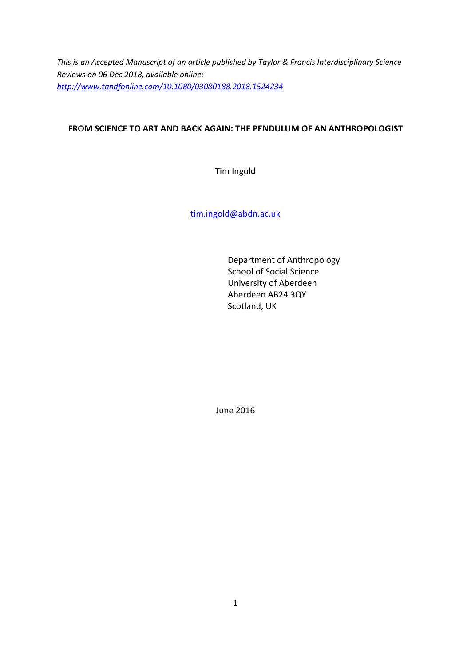*This is an Accepted Manuscript of an article published by Taylor & Francis Interdisciplinary Science Reviews on 06 Dec 2018, available online: <http://www.tandfonline.com/>[10.1080/03080188.2018.1524234](https://doi.org/10.1080/03080188.2018.1524234)*

# **FROM SCIENCE TO ART AND BACK AGAIN: THE PENDULUM OF AN ANTHROPOLOGIST**

Tim Ingold

[tim.ingold@abdn.ac.uk](mailto:tim.ingold@abdn.ac.uk)

Department of Anthropology School of Social Science University of Aberdeen Aberdeen AB24 3QY Scotland, UK

June 2016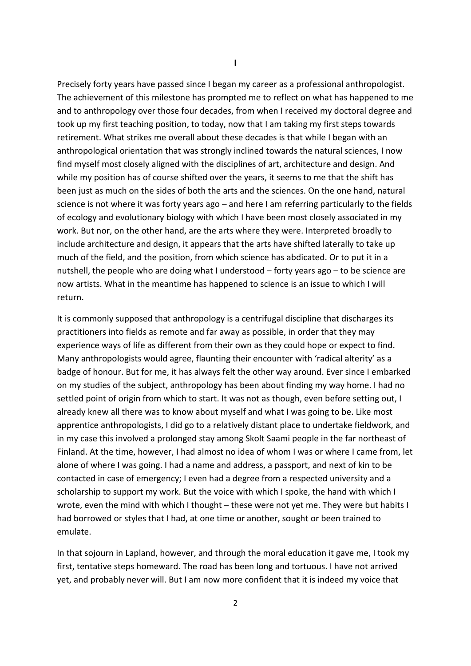Precisely forty years have passed since I began my career as a professional anthropologist. The achievement of this milestone has prompted me to reflect on what has happened to me and to anthropology over those four decades, from when I received my doctoral degree and took up my first teaching position, to today, now that I am taking my first steps towards retirement. What strikes me overall about these decades is that while I began with an anthropological orientation that was strongly inclined towards the natural sciences, I now find myself most closely aligned with the disciplines of art, architecture and design. And while my position has of course shifted over the years, it seems to me that the shift has been just as much on the sides of both the arts and the sciences. On the one hand, natural science is not where it was forty years ago – and here I am referring particularly to the fields of ecology and evolutionary biology with which I have been most closely associated in my work. But nor, on the other hand, are the arts where they were. Interpreted broadly to include architecture and design, it appears that the arts have shifted laterally to take up much of the field, and the position, from which science has abdicated. Or to put it in a nutshell, the people who are doing what I understood – forty years ago – to be science are now artists. What in the meantime has happened to science is an issue to which I will return.

It is commonly supposed that anthropology is a centrifugal discipline that discharges its practitioners into fields as remote and far away as possible, in order that they may experience ways of life as different from their own as they could hope or expect to find. Many anthropologists would agree, flaunting their encounter with 'radical alterity' as a badge of honour. But for me, it has always felt the other way around. Ever since I embarked on my studies of the subject, anthropology has been about finding my way home. I had no settled point of origin from which to start. It was not as though, even before setting out, I already knew all there was to know about myself and what I was going to be. Like most apprentice anthropologists, I did go to a relatively distant place to undertake fieldwork, and in my case this involved a prolonged stay among Skolt Saami people in the far northeast of Finland. At the time, however, I had almost no idea of whom I was or where I came from, let alone of where I was going. I had a name and address, a passport, and next of kin to be contacted in case of emergency; I even had a degree from a respected university and a scholarship to support my work. But the voice with which I spoke, the hand with which I wrote, even the mind with which I thought – these were not yet me. They were but habits I had borrowed or styles that I had, at one time or another, sought or been trained to emulate.

In that sojourn in Lapland, however, and through the moral education it gave me, I took my first, tentative steps homeward. The road has been long and tortuous. I have not arrived yet, and probably never will. But I am now more confident that it is indeed my voice that

**I**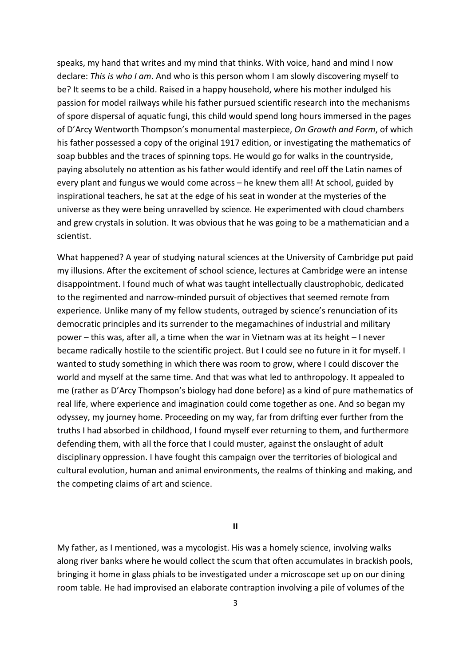speaks, my hand that writes and my mind that thinks. With voice, hand and mind I now declare: *This is who I am*. And who is this person whom I am slowly discovering myself to be? It seems to be a child. Raised in a happy household, where his mother indulged his passion for model railways while his father pursued scientific research into the mechanisms of spore dispersal of aquatic fungi, this child would spend long hours immersed in the pages of D'Arcy Wentworth Thompson's monumental masterpiece, *On Growth and Form*, of which his father possessed a copy of the original 1917 edition, or investigating the mathematics of soap bubbles and the traces of spinning tops. He would go for walks in the countryside, paying absolutely no attention as his father would identify and reel off the Latin names of every plant and fungus we would come across – he knew them all! At school, guided by inspirational teachers, he sat at the edge of his seat in wonder at the mysteries of the universe as they were being unravelled by science. He experimented with cloud chambers and grew crystals in solution. It was obvious that he was going to be a mathematician and a scientist.

What happened? A year of studying natural sciences at the University of Cambridge put paid my illusions. After the excitement of school science, lectures at Cambridge were an intense disappointment. I found much of what was taught intellectually claustrophobic, dedicated to the regimented and narrow-minded pursuit of objectives that seemed remote from experience. Unlike many of my fellow students, outraged by science's renunciation of its democratic principles and its surrender to the megamachines of industrial and military power – this was, after all, a time when the war in Vietnam was at its height – I never became radically hostile to the scientific project. But I could see no future in it for myself. I wanted to study something in which there was room to grow, where I could discover the world and myself at the same time. And that was what led to anthropology. It appealed to me (rather as D'Arcy Thompson's biology had done before) as a kind of pure mathematics of real life, where experience and imagination could come together as one. And so began my odyssey, my journey home. Proceeding on my way, far from drifting ever further from the truths I had absorbed in childhood, I found myself ever returning to them, and furthermore defending them, with all the force that I could muster, against the onslaught of adult disciplinary oppression. I have fought this campaign over the territories of biological and cultural evolution, human and animal environments, the realms of thinking and making, and the competing claims of art and science.

### **II**

My father, as I mentioned, was a mycologist. His was a homely science, involving walks along river banks where he would collect the scum that often accumulates in brackish pools, bringing it home in glass phials to be investigated under a microscope set up on our dining room table. He had improvised an elaborate contraption involving a pile of volumes of the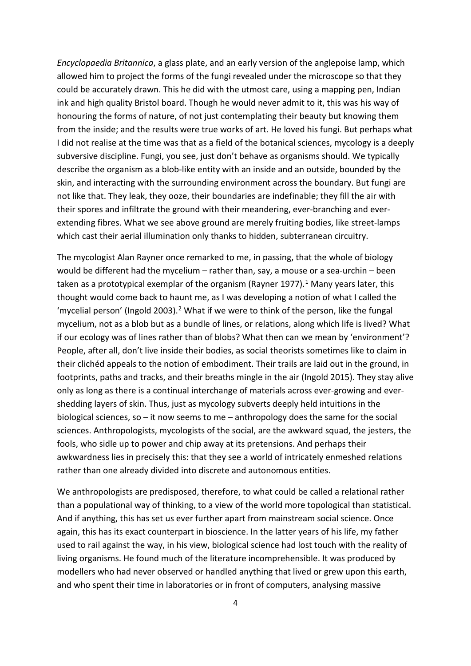*Encyclopaedia Britannica*, a glass plate, and an early version of the anglepoise lamp, which allowed him to project the forms of the fungi revealed under the microscope so that they could be accurately drawn. This he did with the utmost care, using a mapping pen, Indian ink and high quality Bristol board. Though he would never admit to it, this was his way of honouring the forms of nature, of not just contemplating their beauty but knowing them from the inside; and the results were true works of art. He loved his fungi. But perhaps what I did not realise at the time was that as a field of the botanical sciences, mycology is a deeply subversive discipline. Fungi, you see, just don't behave as organisms should. We typically describe the organism as a blob-like entity with an inside and an outside, bounded by the skin, and interacting with the surrounding environment across the boundary. But fungi are not like that. They leak, they ooze, their boundaries are indefinable; they fill the air with their spores and infiltrate the ground with their meandering, ever-branching and everextending fibres. What we see above ground are merely fruiting bodies, like street-lamps which cast their aerial illumination only thanks to hidden, subterranean circuitry.

The mycologist Alan Rayner once remarked to me, in passing, that the whole of biology would be different had the mycelium – rather than, say, a mouse or a sea-urchin – been taken as a prototypical exemplar of the organism (Rayner [1](#page-18-0)977).<sup>1</sup> Many years later, this thought would come back to haunt me, as I was developing a notion of what I called the 'mycelial person' (Ingold [2](#page-18-1)003).<sup>2</sup> What if we were to think of the person, like the fungal mycelium, not as a blob but as a bundle of lines, or relations, along which life is lived? What if our ecology was of lines rather than of blobs? What then can we mean by 'environment'? People, after all, don't live inside their bodies, as social theorists sometimes like to claim in their clichéd appeals to the notion of embodiment. Their trails are laid out in the ground, in footprints, paths and tracks, and their breaths mingle in the air (Ingold 2015). They stay alive only as long as there is a continual interchange of materials across ever-growing and evershedding layers of skin. Thus, just as mycology subverts deeply held intuitions in the biological sciences, so – it now seems to me – anthropology does the same for the social sciences. Anthropologists, mycologists of the social, are the awkward squad, the jesters, the fools, who sidle up to power and chip away at its pretensions. And perhaps their awkwardness lies in precisely this: that they see a world of intricately enmeshed relations rather than one already divided into discrete and autonomous entities.

We anthropologists are predisposed, therefore, to what could be called a relational rather than a populational way of thinking, to a view of the world more topological than statistical. And if anything, this has set us ever further apart from mainstream social science. Once again, this has its exact counterpart in bioscience. In the latter years of his life, my father used to rail against the way, in his view, biological science had lost touch with the reality of living organisms. He found much of the literature incomprehensible. It was produced by modellers who had never observed or handled anything that lived or grew upon this earth, and who spent their time in laboratories or in front of computers, analysing massive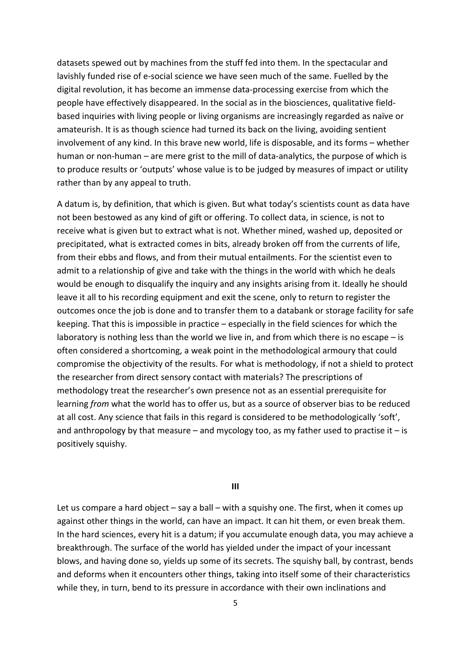datasets spewed out by machines from the stuff fed into them. In the spectacular and lavishly funded rise of e-social science we have seen much of the same. Fuelled by the digital revolution, it has become an immense data-processing exercise from which the people have effectively disappeared. In the social as in the biosciences, qualitative fieldbased inquiries with living people or living organisms are increasingly regarded as naïve or amateurish. It is as though science had turned its back on the living, avoiding sentient involvement of any kind. In this brave new world, life is disposable, and its forms – whether human or non-human – are mere grist to the mill of data-analytics, the purpose of which is to produce results or 'outputs' whose value is to be judged by measures of impact or utility rather than by any appeal to truth.

A datum is, by definition, that which is given. But what today's scientists count as data have not been bestowed as any kind of gift or offering. To collect data, in science, is not to receive what is given but to extract what is not. Whether mined, washed up, deposited or precipitated, what is extracted comes in bits, already broken off from the currents of life, from their ebbs and flows, and from their mutual entailments. For the scientist even to admit to a relationship of give and take with the things in the world with which he deals would be enough to disqualify the inquiry and any insights arising from it. Ideally he should leave it all to his recording equipment and exit the scene, only to return to register the outcomes once the job is done and to transfer them to a databank or storage facility for safe keeping. That this is impossible in practice – especially in the field sciences for which the laboratory is nothing less than the world we live in, and from which there is no escape – is often considered a shortcoming, a weak point in the methodological armoury that could compromise the objectivity of the results. For what is methodology, if not a shield to protect the researcher from direct sensory contact with materials? The prescriptions of methodology treat the researcher's own presence not as an essential prerequisite for learning *from* what the world has to offer us, but as a source of observer bias to be reduced at all cost. Any science that fails in this regard is considered to be methodologically 'soft', and anthropology by that measure – and mycology too, as my father used to practise it – is positively squishy.

#### **III**

Let us compare a hard object - say a ball - with a squishy one. The first, when it comes up against other things in the world, can have an impact. It can hit them, or even break them. In the hard sciences, every hit is a datum; if you accumulate enough data, you may achieve a breakthrough. The surface of the world has yielded under the impact of your incessant blows, and having done so, yields up some of its secrets. The squishy ball, by contrast, bends and deforms when it encounters other things, taking into itself some of their characteristics while they, in turn, bend to its pressure in accordance with their own inclinations and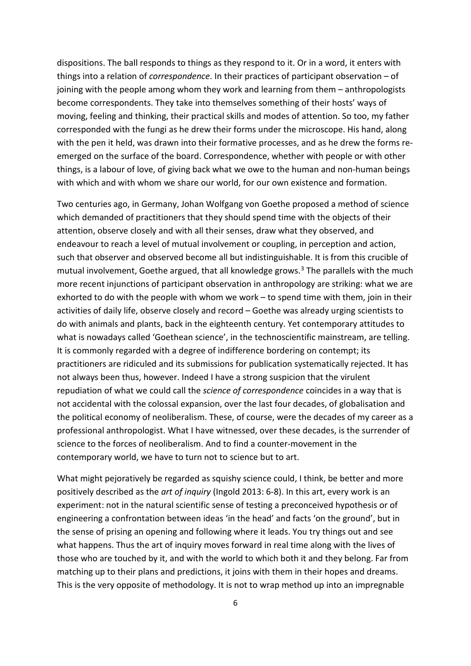dispositions. The ball responds to things as they respond to it. Or in a word, it enters with things into a relation of *correspondence*. In their practices of participant observation – of joining with the people among whom they work and learning from them – anthropologists become correspondents. They take into themselves something of their hosts' ways of moving, feeling and thinking, their practical skills and modes of attention. So too, my father corresponded with the fungi as he drew their forms under the microscope. His hand, along with the pen it held, was drawn into their formative processes, and as he drew the forms reemerged on the surface of the board. Correspondence, whether with people or with other things, is a labour of love, of giving back what we owe to the human and non-human beings with which and with whom we share our world, for our own existence and formation.

Two centuries ago, in Germany, Johan Wolfgang von Goethe proposed a method of science which demanded of practitioners that they should spend time with the objects of their attention, observe closely and with all their senses, draw what they observed, and endeavour to reach a level of mutual involvement or coupling, in perception and action, such that observer and observed become all but indistinguishable. It is from this crucible of mutual involvement, Goethe argued, that all knowledge grows.<sup>[3](#page-18-2)</sup> The parallels with the much more recent injunctions of participant observation in anthropology are striking: what we are exhorted to do with the people with whom we work – to spend time with them, join in their activities of daily life, observe closely and record – Goethe was already urging scientists to do with animals and plants, back in the eighteenth century. Yet contemporary attitudes to what is nowadays called 'Goethean science', in the technoscientific mainstream, are telling. It is commonly regarded with a degree of indifference bordering on contempt; its practitioners are ridiculed and its submissions for publication systematically rejected. It has not always been thus, however. Indeed I have a strong suspicion that the virulent repudiation of what we could call the *science of correspondence* coincides in a way that is not accidental with the colossal expansion, over the last four decades, of globalisation and the political economy of neoliberalism. These, of course, were the decades of my career as a professional anthropologist. What I have witnessed, over these decades, is the surrender of science to the forces of neoliberalism. And to find a counter-movement in the contemporary world, we have to turn not to science but to art.

What might pejoratively be regarded as squishy science could, I think, be better and more positively described as the *art of inquiry* (Ingold 2013: 6-8). In this art, every work is an experiment: not in the natural scientific sense of testing a preconceived hypothesis or of engineering a confrontation between ideas 'in the head' and facts 'on the ground', but in the sense of prising an opening and following where it leads. You try things out and see what happens. Thus the art of inquiry moves forward in real time along with the lives of those who are touched by it, and with the world to which both it and they belong. Far from matching up to their plans and predictions, it joins with them in their hopes and dreams. This is the very opposite of methodology. It is not to wrap method up into an impregnable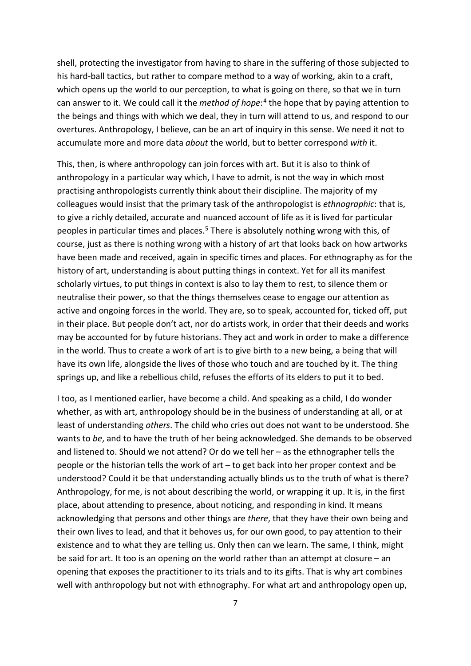shell, protecting the investigator from having to share in the suffering of those subjected to his hard-ball tactics, but rather to compare method to a way of working, akin to a craft, which opens up the world to our perception, to what is going on there, so that we in turn can answer to it. We could call it the *method of hope*: [4](#page-18-3) the hope that by paying attention to the beings and things with which we deal, they in turn will attend to us, and respond to our overtures. Anthropology, I believe, can be an art of inquiry in this sense. We need it not to accumulate more and more data *about* the world, but to better correspond *with* it.

This, then, is where anthropology can join forces with art. But it is also to think of anthropology in a particular way which, I have to admit, is not the way in which most practising anthropologists currently think about their discipline. The majority of my colleagues would insist that the primary task of the anthropologist is *ethnographic*: that is, to give a richly detailed, accurate and nuanced account of life as it is lived for particular peoples in particular times and places.<sup>[5](#page-18-4)</sup> There is absolutely nothing wrong with this, of course, just as there is nothing wrong with a history of art that looks back on how artworks have been made and received, again in specific times and places. For ethnography as for the history of art, understanding is about putting things in context. Yet for all its manifest scholarly virtues, to put things in context is also to lay them to rest, to silence them or neutralise their power, so that the things themselves cease to engage our attention as active and ongoing forces in the world. They are, so to speak, accounted for, ticked off, put in their place. But people don't act, nor do artists work, in order that their deeds and works may be accounted for by future historians. They act and work in order to make a difference in the world. Thus to create a work of art is to give birth to a new being, a being that will have its own life, alongside the lives of those who touch and are touched by it. The thing springs up, and like a rebellious child, refuses the efforts of its elders to put it to bed.

I too, as I mentioned earlier, have become a child. And speaking as a child, I do wonder whether, as with art, anthropology should be in the business of understanding at all, or at least of understanding *others*. The child who cries out does not want to be understood. She wants to *be*, and to have the truth of her being acknowledged. She demands to be observed and listened to. Should we not attend? Or do we tell her – as the ethnographer tells the people or the historian tells the work of art – to get back into her proper context and be understood? Could it be that understanding actually blinds us to the truth of what is there? Anthropology, for me, is not about describing the world, or wrapping it up. It is, in the first place, about attending to presence, about noticing, and responding in kind. It means acknowledging that persons and other things are *there*, that they have their own being and their own lives to lead, and that it behoves us, for our own good, to pay attention to their existence and to what they are telling us. Only then can we learn. The same, I think, might be said for art. It too is an opening on the world rather than an attempt at closure – an opening that exposes the practitioner to its trials and to its gifts. That is why art combines well with anthropology but not with ethnography. For what art and anthropology open up,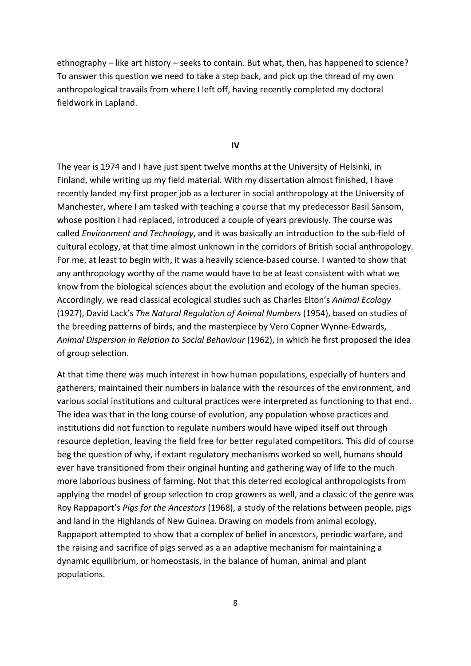ethnography – like art history – seeks to contain. But what, then, has happened to science? To answer this question we need to take a step back, and pick up the thread of my own anthropological travails from where I left off, having recently completed my doctoral fieldwork in Lapland.

**IV**

The year is 1974 and I have just spent twelve months at the University of Helsinki, in Finland, while writing up my field material. With my dissertation almost finished, I have recently landed my first proper job as a lecturer in social anthropology at the University of Manchester, where I am tasked with teaching a course that my predecessor Basil Sansom, whose position I had replaced, introduced a couple of years previously. The course was called *Environment and Technology*, and it was basically an introduction to the sub-field of cultural ecology, at that time almost unknown in the corridors of British social anthropology. For me, at least to begin with, it was a heavily science-based course. I wanted to show that any anthropology worthy of the name would have to be at least consistent with what we know from the biological sciences about the evolution and ecology of the human species. Accordingly, we read classical ecological studies such as Charles Elton's *Animal Ecology* (1927), David Lack's *The Natural Regulation of Animal Numbers* (1954), based on studies of the breeding patterns of birds, and the masterpiece by Vero Copner Wynne-Edwards, *Animal Dispersion in Relation to Social Behaviour* (1962), in which he first proposed the idea of group selection.

At that time there was much interest in how human populations, especially of hunters and gatherers, maintained their numbers in balance with the resources of the environment, and various social institutions and cultural practices were interpreted as functioning to that end. The idea was that in the long course of evolution, any population whose practices and institutions did not function to regulate numbers would have wiped itself out through resource depletion, leaving the field free for better regulated competitors. This did of course beg the question of why, if extant regulatory mechanisms worked so well, humans should ever have transitioned from their original hunting and gathering way of life to the much more laborious business of farming. Not that this deterred ecological anthropologists from applying the model of group selection to crop growers as well, and a classic of the genre was Roy Rappaport's *Pigs for the Ancestors* (1968), a study of the relations between people, pigs and land in the Highlands of New Guinea. Drawing on models from animal ecology, Rappaport attempted to show that a complex of belief in ancestors, periodic warfare, and the raising and sacrifice of pigs served as a an adaptive mechanism for maintaining a dynamic equilibrium, or homeostasis, in the balance of human, animal and plant populations.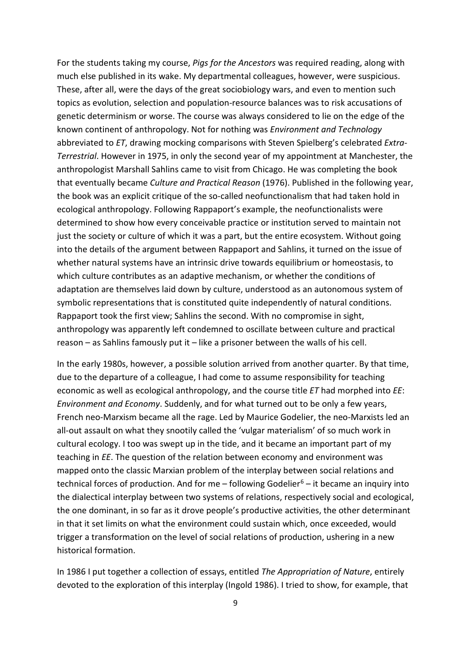For the students taking my course, *Pigs for the Ancestors* was required reading, along with much else published in its wake. My departmental colleagues, however, were suspicious. These, after all, were the days of the great sociobiology wars, and even to mention such topics as evolution, selection and population-resource balances was to risk accusations of genetic determinism or worse. The course was always considered to lie on the edge of the known continent of anthropology. Not for nothing was *Environment and Technology* abbreviated to *ET*, drawing mocking comparisons with Steven Spielberg's celebrated *Extra-Terrestrial*. However in 1975, in only the second year of my appointment at Manchester, the anthropologist Marshall Sahlins came to visit from Chicago. He was completing the book that eventually became *Culture and Practical Reason* (1976). Published in the following year, the book was an explicit critique of the so-called neofunctionalism that had taken hold in ecological anthropology. Following Rappaport's example, the neofunctionalists were determined to show how every conceivable practice or institution served to maintain not just the society or culture of which it was a part, but the entire ecosystem. Without going into the details of the argument between Rappaport and Sahlins, it turned on the issue of whether natural systems have an intrinsic drive towards equilibrium or homeostasis, to which culture contributes as an adaptive mechanism, or whether the conditions of adaptation are themselves laid down by culture, understood as an autonomous system of symbolic representations that is constituted quite independently of natural conditions. Rappaport took the first view; Sahlins the second. With no compromise in sight, anthropology was apparently left condemned to oscillate between culture and practical reason – as Sahlins famously put it – like a prisoner between the walls of his cell.

In the early 1980s, however, a possible solution arrived from another quarter. By that time, due to the departure of a colleague, I had come to assume responsibility for teaching economic as well as ecological anthropology, and the course title *ET* had morphed into *EE*: *Environment and Economy*. Suddenly, and for what turned out to be only a few years, French neo-Marxism became all the rage. Led by Maurice Godelier, the neo-Marxists led an all-out assault on what they snootily called the 'vulgar materialism' of so much work in cultural ecology. I too was swept up in the tide, and it became an important part of my teaching in *EE*. The question of the relation between economy and environment was mapped onto the classic Marxian problem of the interplay between social relations and technical forces of production. And for me – following Godelier<sup>[6](#page-18-5)</sup> – it became an inquiry into the dialectical interplay between two systems of relations, respectively social and ecological, the one dominant, in so far as it drove people's productive activities, the other determinant in that it set limits on what the environment could sustain which, once exceeded, would trigger a transformation on the level of social relations of production, ushering in a new historical formation.

In 1986 I put together a collection of essays, entitled *The Appropriation of Nature*, entirely devoted to the exploration of this interplay (Ingold 1986). I tried to show, for example, that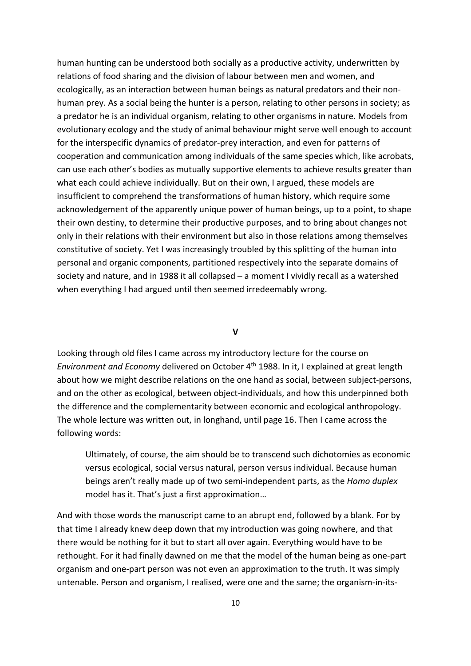human hunting can be understood both socially as a productive activity, underwritten by relations of food sharing and the division of labour between men and women, and ecologically, as an interaction between human beings as natural predators and their nonhuman prey. As a social being the hunter is a person, relating to other persons in society; as a predator he is an individual organism, relating to other organisms in nature. Models from evolutionary ecology and the study of animal behaviour might serve well enough to account for the interspecific dynamics of predator-prey interaction, and even for patterns of cooperation and communication among individuals of the same species which, like acrobats, can use each other's bodies as mutually supportive elements to achieve results greater than what each could achieve individually. But on their own, I argued, these models are insufficient to comprehend the transformations of human history, which require some acknowledgement of the apparently unique power of human beings, up to a point, to shape their own destiny, to determine their productive purposes, and to bring about changes not only in their relations with their environment but also in those relations among themselves constitutive of society. Yet I was increasingly troubled by this splitting of the human into personal and organic components, partitioned respectively into the separate domains of society and nature, and in 1988 it all collapsed – a moment I vividly recall as a watershed when everything I had argued until then seemed irredeemably wrong.

### **V**

Looking through old files I came across my introductory lecture for the course on *Environment and Economy* delivered on October 4th 1988. In it, I explained at great length about how we might describe relations on the one hand as social, between subject-persons, and on the other as ecological, between object-individuals, and how this underpinned both the difference and the complementarity between economic and ecological anthropology. The whole lecture was written out, in longhand, until page 16. Then I came across the following words:

Ultimately, of course, the aim should be to transcend such dichotomies as economic versus ecological, social versus natural, person versus individual. Because human beings aren't really made up of two semi-independent parts, as the *Homo duplex* model has it. That's just a first approximation…

And with those words the manuscript came to an abrupt end, followed by a blank. For by that time I already knew deep down that my introduction was going nowhere, and that there would be nothing for it but to start all over again. Everything would have to be rethought. For it had finally dawned on me that the model of the human being as one-part organism and one-part person was not even an approximation to the truth. It was simply untenable. Person and organism, I realised, were one and the same; the organism-in-its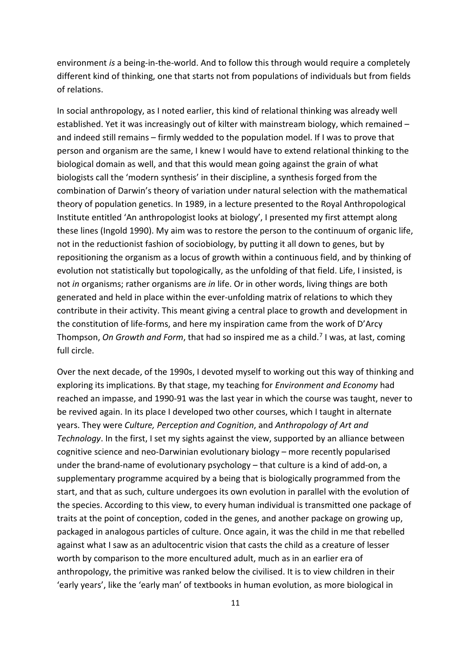environment *is* a being-in-the-world. And to follow this through would require a completely different kind of thinking, one that starts not from populations of individuals but from fields of relations.

In social anthropology, as I noted earlier, this kind of relational thinking was already well established. Yet it was increasingly out of kilter with mainstream biology, which remained – and indeed still remains – firmly wedded to the population model. If I was to prove that person and organism are the same, I knew I would have to extend relational thinking to the biological domain as well, and that this would mean going against the grain of what biologists call the 'modern synthesis' in their discipline, a synthesis forged from the combination of Darwin's theory of variation under natural selection with the mathematical theory of population genetics. In 1989, in a lecture presented to the Royal Anthropological Institute entitled 'An anthropologist looks at biology', I presented my first attempt along these lines (Ingold 1990). My aim was to restore the person to the continuum of organic life, not in the reductionist fashion of sociobiology, by putting it all down to genes, but by repositioning the organism as a locus of growth within a continuous field, and by thinking of evolution not statistically but topologically, as the unfolding of that field. Life, I insisted, is not *in* organisms; rather organisms are *in* life. Or in other words, living things are both generated and held in place within the ever-unfolding matrix of relations to which they contribute in their activity. This meant giving a central place to growth and development in the constitution of life-forms, and here my inspiration came from the work of D'Arcy Thompson, *On Growth and Form*, that had so inspired me as a child.<sup>[7](#page-18-6)</sup> I was, at last, coming full circle.

Over the next decade, of the 1990s, I devoted myself to working out this way of thinking and exploring its implications. By that stage, my teaching for *Environment and Economy* had reached an impasse, and 1990-91 was the last year in which the course was taught, never to be revived again. In its place I developed two other courses, which I taught in alternate years. They were *Culture, Perception and Cognition*, and *Anthropology of Art and Technology*. In the first, I set my sights against the view, supported by an alliance between cognitive science and neo-Darwinian evolutionary biology – more recently popularised under the brand-name of evolutionary psychology – that culture is a kind of add-on, a supplementary programme acquired by a being that is biologically programmed from the start, and that as such, culture undergoes its own evolution in parallel with the evolution of the species. According to this view, to every human individual is transmitted one package of traits at the point of conception, coded in the genes, and another package on growing up, packaged in analogous particles of culture. Once again, it was the child in me that rebelled against what I saw as an adultocentric vision that casts the child as a creature of lesser worth by comparison to the more encultured adult, much as in an earlier era of anthropology, the primitive was ranked below the civilised. It is to view children in their 'early years', like the 'early man' of textbooks in human evolution, as more biological in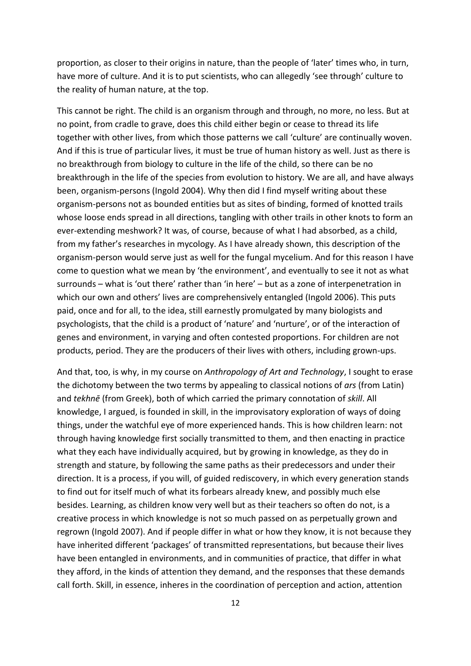proportion, as closer to their origins in nature, than the people of 'later' times who, in turn, have more of culture. And it is to put scientists, who can allegedly 'see through' culture to the reality of human nature, at the top.

This cannot be right. The child is an organism through and through, no more, no less. But at no point, from cradle to grave, does this child either begin or cease to thread its life together with other lives, from which those patterns we call 'culture' are continually woven. And if this is true of particular lives, it must be true of human history as well. Just as there is no breakthrough from biology to culture in the life of the child, so there can be no breakthrough in the life of the species from evolution to history. We are all, and have always been, organism-persons (Ingold 2004). Why then did I find myself writing about these organism-persons not as bounded entities but as sites of binding, formed of knotted trails whose loose ends spread in all directions, tangling with other trails in other knots to form an ever-extending meshwork? It was, of course, because of what I had absorbed, as a child, from my father's researches in mycology. As I have already shown, this description of the organism-person would serve just as well for the fungal mycelium. And for this reason I have come to question what we mean by 'the environment', and eventually to see it not as what surrounds – what is 'out there' rather than 'in here' – but as a zone of interpenetration in which our own and others' lives are comprehensively entangled (Ingold 2006). This puts paid, once and for all, to the idea, still earnestly promulgated by many biologists and psychologists, that the child is a product of 'nature' and 'nurture', or of the interaction of genes and environment, in varying and often contested proportions. For children are not products, period. They are the producers of their lives with others, including grown-ups.

And that, too, is why, in my course on *Anthropology of Art and Technology*, I sought to erase the dichotomy between the two terms by appealing to classical notions of *ars* (from Latin) and *tekhnē* (from Greek), both of which carried the primary connotation of *skill*. All knowledge, I argued, is founded in skill, in the improvisatory exploration of ways of doing things, under the watchful eye of more experienced hands. This is how children learn: not through having knowledge first socially transmitted to them, and then enacting in practice what they each have individually acquired, but by growing in knowledge, as they do in strength and stature, by following the same paths as their predecessors and under their direction. It is a process, if you will, of guided rediscovery, in which every generation stands to find out for itself much of what its forbears already knew, and possibly much else besides. Learning, as children know very well but as their teachers so often do not, is a creative process in which knowledge is not so much passed on as perpetually grown and regrown (Ingold 2007). And if people differ in what or how they know, it is not because they have inherited different 'packages' of transmitted representations, but because their lives have been entangled in environments, and in communities of practice, that differ in what they afford, in the kinds of attention they demand, and the responses that these demands call forth. Skill, in essence, inheres in the coordination of perception and action, attention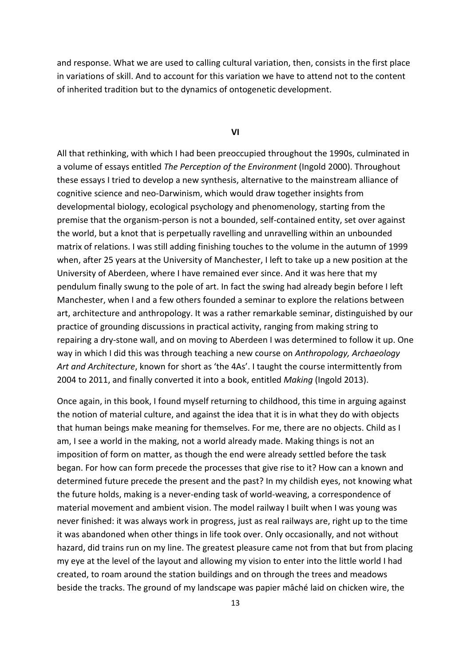and response. What we are used to calling cultural variation, then, consists in the first place in variations of skill. And to account for this variation we have to attend not to the content of inherited tradition but to the dynamics of ontogenetic development.

#### **VI**

All that rethinking, with which I had been preoccupied throughout the 1990s, culminated in a volume of essays entitled *The Perception of the Environment* (Ingold 2000). Throughout these essays I tried to develop a new synthesis, alternative to the mainstream alliance of cognitive science and neo-Darwinism, which would draw together insights from developmental biology, ecological psychology and phenomenology, starting from the premise that the organism-person is not a bounded, self-contained entity, set over against the world, but a knot that is perpetually ravelling and unravelling within an unbounded matrix of relations. I was still adding finishing touches to the volume in the autumn of 1999 when, after 25 years at the University of Manchester, I left to take up a new position at the University of Aberdeen, where I have remained ever since. And it was here that my pendulum finally swung to the pole of art. In fact the swing had already begin before I left Manchester, when I and a few others founded a seminar to explore the relations between art, architecture and anthropology. It was a rather remarkable seminar, distinguished by our practice of grounding discussions in practical activity, ranging from making string to repairing a dry-stone wall, and on moving to Aberdeen I was determined to follow it up. One way in which I did this was through teaching a new course on *Anthropology, Archaeology Art and Architecture*, known for short as 'the 4As'. I taught the course intermittently from 2004 to 2011, and finally converted it into a book, entitled *Making* (Ingold 2013).

Once again, in this book, I found myself returning to childhood, this time in arguing against the notion of material culture, and against the idea that it is in what they do with objects that human beings make meaning for themselves. For me, there are no objects. Child as I am, I see a world in the making, not a world already made. Making things is not an imposition of form on matter, as though the end were already settled before the task began. For how can form precede the processes that give rise to it? How can a known and determined future precede the present and the past? In my childish eyes, not knowing what the future holds, making is a never-ending task of world-weaving, a correspondence of material movement and ambient vision. The model railway I built when I was young was never finished: it was always work in progress, just as real railways are, right up to the time it was abandoned when other things in life took over. Only occasionally, and not without hazard, did trains run on my line. The greatest pleasure came not from that but from placing my eye at the level of the layout and allowing my vision to enter into the little world I had created, to roam around the station buildings and on through the trees and meadows beside the tracks. The ground of my landscape was papier mâché laid on chicken wire, the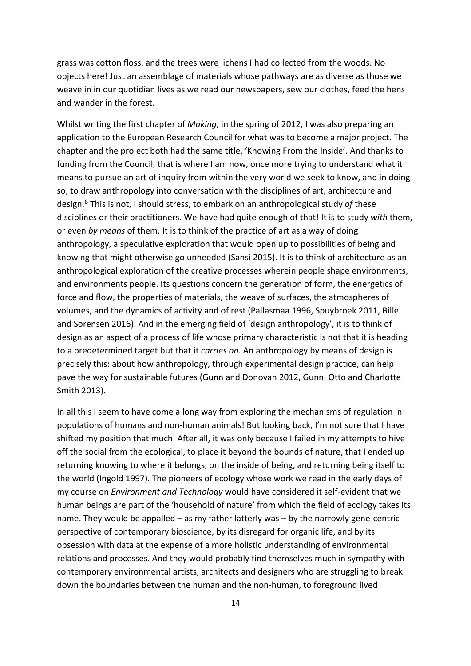grass was cotton floss, and the trees were lichens I had collected from the woods. No objects here! Just an assemblage of materials whose pathways are as diverse as those we weave in in our quotidian lives as we read our newspapers, sew our clothes, feed the hens and wander in the forest.

Whilst writing the first chapter of *Making*, in the spring of 2012, I was also preparing an application to the European Research Council for what was to become a major project. The chapter and the project both had the same title, 'Knowing From the Inside'. And thanks to funding from the Council, that is where I am now, once more trying to understand what it means to pursue an art of inquiry from within the very world we seek to know, and in doing so, to draw anthropology into conversation with the disciplines of art, architecture and design.[8](#page-18-7) This is not, I should stress, to embark on an anthropological study *of* these disciplines or their practitioners. We have had quite enough of that! It is to study *with* them, or even *by means* of them. It is to think of the practice of art as a way of doing anthropology, a speculative exploration that would open up to possibilities of being and knowing that might otherwise go unheeded (Sansi 2015). It is to think of architecture as an anthropological exploration of the creative processes wherein people shape environments, and environments people. Its questions concern the generation of form, the energetics of force and flow, the properties of materials, the weave of surfaces, the atmospheres of volumes, and the dynamics of activity and of rest (Pallasmaa 1996, Spuybroek 2011, Bille and Sorensen 2016). And in the emerging field of 'design anthropology', it is to think of design as an aspect of a process of life whose primary characteristic is not that it is heading to a predetermined target but that it *carries on.* An anthropology by means of design is precisely this: about how anthropology, through experimental design practice, can help pave the way for sustainable futures (Gunn and Donovan 2012, Gunn, Otto and Charlotte Smith 2013).

In all this I seem to have come a long way from exploring the mechanisms of regulation in populations of humans and non-human animals! But looking back, I'm not sure that I have shifted my position that much. After all, it was only because I failed in my attempts to hive off the social from the ecological, to place it beyond the bounds of nature, that I ended up returning knowing to where it belongs, on the inside of being, and returning being itself to the world (Ingold 1997). The pioneers of ecology whose work we read in the early days of my course on *Environment and Technology* would have considered it self-evident that we human beings are part of the 'household of nature' from which the field of ecology takes its name. They would be appalled – as my father latterly was – by the narrowly gene-centric perspective of contemporary bioscience, by its disregard for organic life, and by its obsession with data at the expense of a more holistic understanding of environmental relations and processes. And they would probably find themselves much in sympathy with contemporary environmental artists, architects and designers who are struggling to break down the boundaries between the human and the non-human, to foreground lived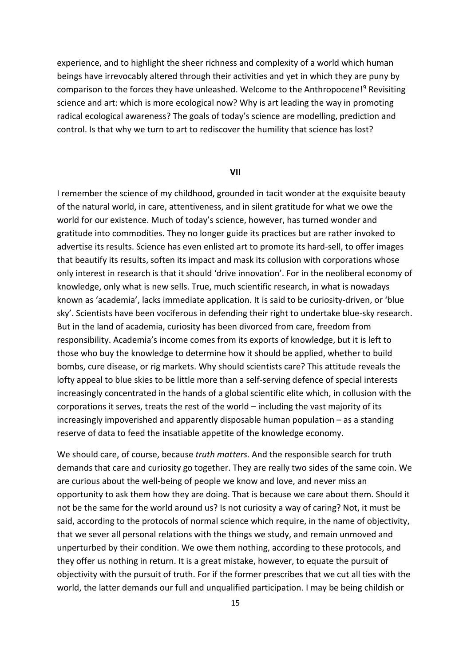experience, and to highlight the sheer richness and complexity of a world which human beings have irrevocably altered through their activities and yet in which they are puny by comparison to the forces they have unleashed. Welcome to the Anthropocene![9](#page-18-8) Revisiting science and art: which is more ecological now? Why is art leading the way in promoting radical ecological awareness? The goals of today's science are modelling, prediction and control. Is that why we turn to art to rediscover the humility that science has lost?

#### **VII**

I remember the science of my childhood, grounded in tacit wonder at the exquisite beauty of the natural world, in care, attentiveness, and in silent gratitude for what we owe the world for our existence. Much of today's science, however, has turned wonder and gratitude into commodities. They no longer guide its practices but are rather invoked to advertise its results. Science has even enlisted art to promote its hard-sell, to offer images that beautify its results, soften its impact and mask its collusion with corporations whose only interest in research is that it should 'drive innovation'. For in the neoliberal economy of knowledge, only what is new sells. True, much scientific research, in what is nowadays known as 'academia', lacks immediate application. It is said to be curiosity-driven, or 'blue sky'. Scientists have been vociferous in defending their right to undertake blue-sky research. But in the land of academia, curiosity has been divorced from care, freedom from responsibility. Academia's income comes from its exports of knowledge, but it is left to those who buy the knowledge to determine how it should be applied, whether to build bombs, cure disease, or rig markets. Why should scientists care? This attitude reveals the lofty appeal to blue skies to be little more than a self-serving defence of special interests increasingly concentrated in the hands of a global scientific elite which, in collusion with the corporations it serves, treats the rest of the world – including the vast majority of its increasingly impoverished and apparently disposable human population – as a standing reserve of data to feed the insatiable appetite of the knowledge economy.

We should care, of course, because *truth matters*. And the responsible search for truth demands that care and curiosity go together. They are really two sides of the same coin. We are curious about the well-being of people we know and love, and never miss an opportunity to ask them how they are doing. That is because we care about them. Should it not be the same for the world around us? Is not curiosity a way of caring? Not, it must be said, according to the protocols of normal science which require, in the name of objectivity, that we sever all personal relations with the things we study, and remain unmoved and unperturbed by their condition. We owe them nothing, according to these protocols, and they offer us nothing in return. It is a great mistake, however, to equate the pursuit of objectivity with the pursuit of truth. For if the former prescribes that we cut all ties with the world, the latter demands our full and unqualified participation. I may be being childish or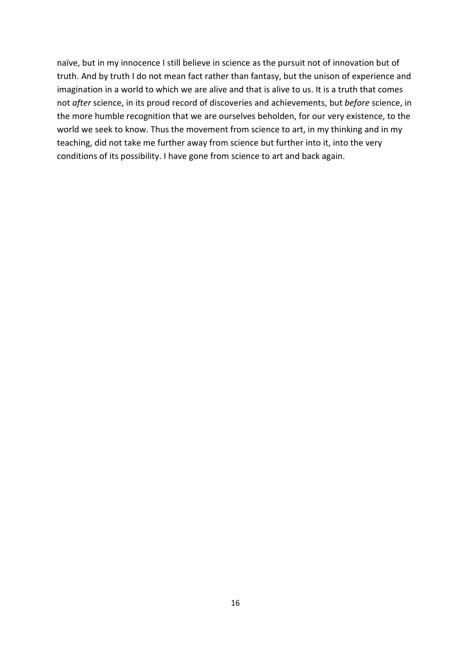naïve, but in my innocence I still believe in science as the pursuit not of innovation but of truth. And by truth I do not mean fact rather than fantasy, but the unison of experience and imagination in a world to which we are alive and that is alive to us. It is a truth that comes not *after* science, in its proud record of discoveries and achievements, but *before* science, in the more humble recognition that we are ourselves beholden, for our very existence, to the world we seek to know. Thus the movement from science to art, in my thinking and in my teaching, did not take me further away from science but further into it, into the very conditions of its possibility. I have gone from science to art and back again.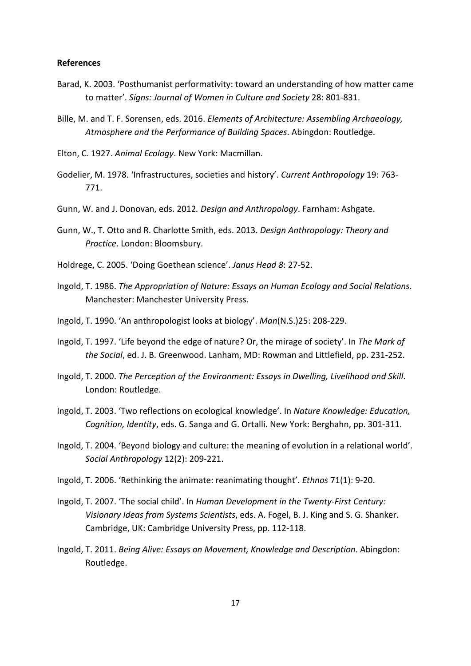## **References**

- Barad, K. 2003. 'Posthumanist performativity: toward an understanding of how matter came to matter'. *Signs: Journal of Women in Culture and Society* 28: 801-831.
- Bille, M. and T. F. Sorensen, eds. 2016. *Elements of Architecture: Assembling Archaeology, Atmosphere and the Performance of Building Spaces*. Abingdon: Routledge.
- Elton, C. 1927. *Animal Ecology*. New York: Macmillan.
- Godelier, M. 1978. 'Infrastructures, societies and history'. *Current Anthropology* 19: 763- 771.
- Gunn, W. and J. Donovan, eds. 2012*. Design and Anthropology*. Farnham: Ashgate.
- Gunn, W., T. Otto and R. Charlotte Smith, eds. 2013. *Design Anthropology: Theory and Practice*. London: Bloomsbury.
- Holdrege, C. 2005. 'Doing Goethean science'. *Janus Head 8*: 27-52.
- Ingold, T. 1986. *The Appropriation of Nature: Essays on Human Ecology and Social Relations*. Manchester: Manchester University Press.
- Ingold, T. 1990. 'An anthropologist looks at biology'. *Man*(N.S.)25: 208-229.
- Ingold, T. 1997. 'Life beyond the edge of nature? Or, the mirage of society'. In *The Mark of the Social*, ed. J. B. Greenwood. Lanham, MD: Rowman and Littlefield, pp. 231-252.
- Ingold, T. 2000. *The Perception of the Environment: Essays in Dwelling, Livelihood and Skill*. London: Routledge.
- Ingold, T. 2003. 'Two reflections on ecological knowledge'. In *Nature Knowledge: Education, Cognition, Identity*, eds. G. Sanga and G. Ortalli. New York: Berghahn, pp. 301-311.
- Ingold, T. 2004. 'Beyond biology and culture: the meaning of evolution in a relational world'. *Social Anthropology* 12(2): 209-221.
- Ingold, T. 2006. 'Rethinking the animate: reanimating thought'. *Ethnos* 71(1): 9-20.
- Ingold, T. 2007. 'The social child'. In *Human Development in the Twenty-First Century: Visionary Ideas from Systems Scientists*, eds. A. Fogel, B. J. King and S. G. Shanker. Cambridge, UK: Cambridge University Press, pp. 112-118.
- Ingold, T. 2011. *Being Alive: Essays on Movement, Knowledge and Description*. Abingdon: Routledge.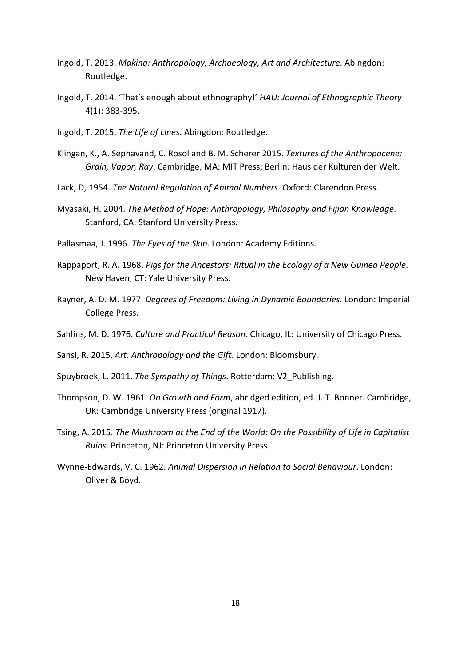- Ingold, T. 2013. *Making: Anthropology, Archaeology, Art and Architecture*. Abingdon: Routledge.
- Ingold, T. 2014. 'That's enough about ethnography!' *HAU: Journal of Ethnographic Theory* 4(1): 383-395.
- Ingold, T. 2015. *The Life of Lines*. Abingdon: Routledge.
- Klingan, K., A. Sephavand, C. Rosol and B. M. Scherer 2015. *Textures of the Anthropocene: Grain, Vapor, Ray*. Cambridge, MA: MIT Press; Berlin: Haus der Kulturen der Welt.
- Lack, D, 1954. *The Natural Regulation of Animal Numbers*. Oxford: Clarendon Press.
- Myasaki, H. 2004. *The Method of Hope: Anthropology, Philosophy and Fijian Knowledge*. Stanford, CA: Stanford University Press.
- Pallasmaa, J. 1996. *The Eyes of the Skin*. London: Academy Editions.
- Rappaport, R. A. 1968. *Pigs for the Ancestors: Ritual in the Ecology of a New Guinea People*. New Haven, CT: Yale University Press.
- Rayner, A. D. M. 1977. *Degrees of Freedom: Living in Dynamic Boundaries*. London: Imperial College Press.
- Sahlins, M. D. 1976. *Culture and Practical Reason*. Chicago, IL: University of Chicago Press.
- Sansi, R. 2015. *Art, Anthropology and the Gift*. London: Bloomsbury.
- Spuybroek, L. 2011. *The Sympathy of Things*. Rotterdam: V2\_Publishing.
- Thompson, D. W. 1961. *On Growth and Form*, abridged edition, ed. J. T. Bonner. Cambridge, UK: Cambridge University Press (original 1917).
- Tsing, A. 2015. *The Mushroom at the End of the World: On the Possibility of Life in Capitalist Ruins*. Princeton, NJ: Princeton University Press.
- Wynne-Edwards, V. C. 1962. *Animal Dispersion in Relation to Social Behaviour*. London: Oliver & Boyd.